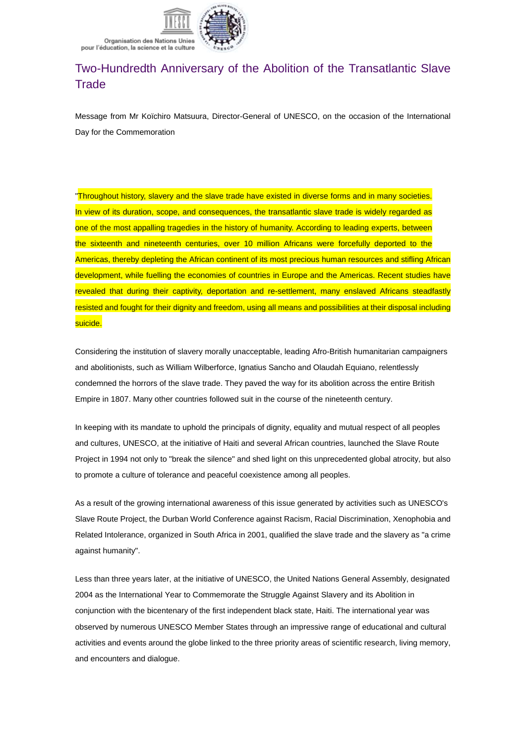

Organisation des Nations Unies pour l'éducation, la science et la culture

## Two-Hundredth Anniversary of the Abolition of the Transatlantic Slave Trade

Message from Mr Koïchiro Matsuura, Director-General of UNESCO, on the occasion of the International Day for the Commemoration

"Throughout history, slavery and the slave trade have existed in diverse forms and in many societies. In view of its duration, scope, and consequences, the transatlantic slave trade is widely regarded as one of the most appalling tragedies in the history of humanity. According to leading experts, between the sixteenth and nineteenth centuries, over 10 million Africans were forcefully deported to the Americas, thereby depleting the African continent of its most precious human resources and stifling African development, while fuelling the economies of countries in Europe and the Americas. Recent studies have revealed that during their captivity, deportation and re-settlement, many enslaved Africans steadfastly resisted and fought for their dignity and freedom, using all means and possibilities at their disposal including suicide.

Considering the institution of slavery morally unacceptable, leading Afro-British humanitarian campaigners and abolitionists, such as William Wilberforce, Ignatius Sancho and Olaudah Equiano, relentlessly condemned the horrors of the slave trade. They paved the way for its abolition across the entire British Empire in 1807. Many other countries followed suit in the course of the nineteenth century.

In keeping with its mandate to uphold the principals of dignity, equality and mutual respect of all peoples and cultures, UNESCO, at the initiative of Haiti and several African countries, launched the Slave Route Project in 1994 not only to "break the silence" and shed light on this unprecedented global atrocity, but also to promote a culture of tolerance and peaceful coexistence among all peoples.

As a result of the growing international awareness of this issue generated by activities such as UNESCO's Slave Route Project, the Durban World Conference against Racism, Racial Discrimination, Xenophobia and Related Intolerance, organized in South Africa in 2001, qualified the slave trade and the slavery as "a crime against humanity".

Less than three years later, at the initiative of UNESCO, the United Nations General Assembly, designated 2004 as the International Year to Commemorate the Struggle Against Slavery and its Abolition in conjunction with the bicentenary of the first independent black state, Haiti. The international year was observed by numerous UNESCO Member States through an impressive range of educational and cultural activities and events around the globe linked to the three priority areas of scientific research, living memory, and encounters and dialogue.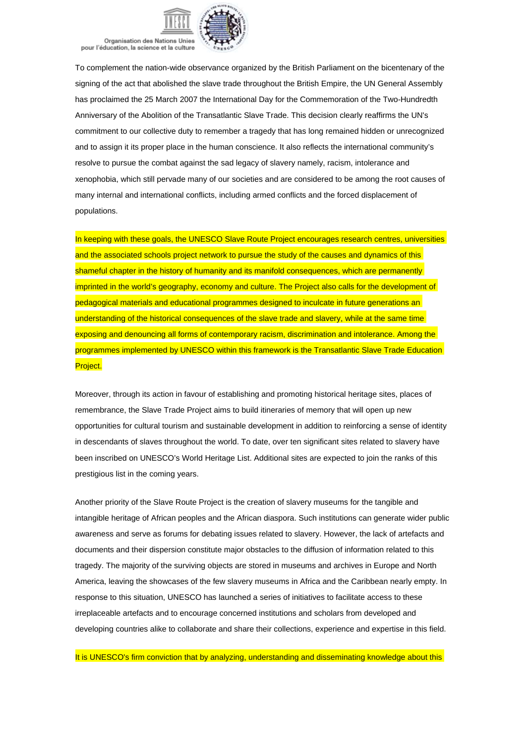Organisation des Nations Unies pour l'éducation, la science et la culture

To complement the nation-wide observance organized by the British Parliament on the bicentenary of the signing of the act that abolished the slave trade throughout the British Empire, the UN General Assembly has proclaimed the 25 March 2007 the International Day for the Commemoration of the Two-Hundredth Anniversary of the Abolition of the Transatlantic Slave Trade. This decision clearly reaffirms the UN's commitment to our collective duty to remember a tragedy that has long remained hidden or unrecognized and to assign it its proper place in the human conscience. It also reflects the international community's resolve to pursue the combat against the sad legacy of slavery namely, racism, intolerance and xenophobia, which still pervade many of our societies and are considered to be among the root causes of many internal and international conflicts, including armed conflicts and the forced displacement of populations.

In keeping with these goals, the UNESCO Slave Route Project encourages research centres, universities and the associated schools project network to pursue the study of the causes and dynamics of this shameful chapter in the history of humanity and its manifold consequences, which are permanently imprinted in the world's geography, economy and culture. The Project also calls for the development of pedagogical materials and educational programmes designed to inculcate in future generations an understanding of the historical consequences of the slave trade and slavery, while at the same time exposing and denouncing all forms of contemporary racism, discrimination and intolerance. Among the programmes implemented by UNESCO within this framework is the Transatlantic Slave Trade Education Project.

Moreover, through its action in favour of establishing and promoting historical heritage sites, places of remembrance, the Slave Trade Project aims to build itineraries of memory that will open up new opportunities for cultural tourism and sustainable development in addition to reinforcing a sense of identity in descendants of slaves throughout the world. To date, over ten significant sites related to slavery have been inscribed on UNESCO's World Heritage List. Additional sites are expected to join the ranks of this prestigious list in the coming years.

Another priority of the Slave Route Project is the creation of slavery museums for the tangible and intangible heritage of African peoples and the African diaspora. Such institutions can generate wider public awareness and serve as forums for debating issues related to slavery. However, the lack of artefacts and documents and their dispersion constitute major obstacles to the diffusion of information related to this tragedy. The majority of the surviving objects are stored in museums and archives in Europe and North America, leaving the showcases of the few slavery museums in Africa and the Caribbean nearly empty. In response to this situation, UNESCO has launched a series of initiatives to facilitate access to these irreplaceable artefacts and to encourage concerned institutions and scholars from developed and developing countries alike to collaborate and share their collections, experience and expertise in this field.

It is UNESCO's firm conviction that by analyzing, understanding and disseminating knowledge about this